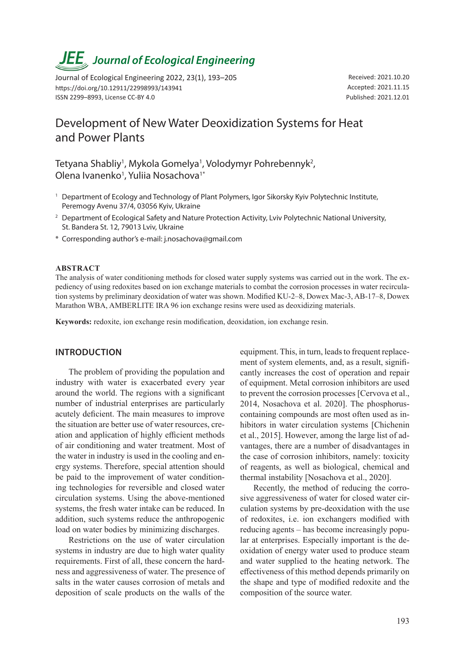# *JEE<sub>,</sub> Journal of Ecological Engineering*

Journal of Ecological Engineering 2022, 23(1), 193–205 https://doi.org/10.12911/22998993/143941 ISSN 2299–8993, License CC-BY 4.0

Received: 2021.10.20 Accepted: 2021.11.15 Published: 2021.12.01

# Development of New Water Deoxidization Systems for Heat and Power Plants

Tetyana Shabliy<sup>1</sup>, Mykola Gomelya<sup>1</sup>, Volodymyr Pohrebennyk<sup>2</sup>, Olena Ivanenko<sup>1</sup>, Yuliia Nosachova<sup>1\*</sup>

- <sup>1</sup> Department of Ecology and Technology of Plant Polymers, Igor Sikorsky Kyiv Polytechnic Institute, Peremogy Avenu 37/4, 03056 Kyiv, Ukraine
- <sup>2</sup> Department of Ecological Safety and Nature Protection Activity, Lviv Polytechnic National University, St. Bandera St. 12, 79013 Lviv, Ukraine
- \* Corresponding author's e-mail: j.nosachova@gmail.com

#### **ABSTRACT**

The analysis of water conditioning methods for closed water supply systems was carried out in the work. The expediency of using redoxites based on ion exchange materials to combat the corrosion processes in water recirculation systems by preliminary deoxidation of water was shown. Modified KU-2–8, Dowex Mac-3, AB-17–8, Dowex Marathon WBA, AMBERLITE IRA 96 ion exchange resins were used as deoxidizing materials.

**Keywords:** redoxite, ion exchange resin modification, deoxidation, ion exchange resin.

#### **INTRODUCTION**

The problem of providing the population and industry with water is exacerbated every year around the world. The regions with a significant number of industrial enterprises are particularly acutely deficient. The main measures to improve the situation are better use of water resources, creation and application of highly efficient methods of air conditioning and water treatment. Most of the water in industry is used in the cooling and energy systems. Therefore, special attention should be paid to the improvement of water conditioning technologies for reversible and closed water circulation systems. Using the above-mentioned systems, the fresh water intake can be reduced. In addition, such systems reduce the anthropogenic load on water bodies by minimizing discharges.

Restrictions on the use of water circulation systems in industry are due to high water quality requirements. First of all, these concern the hardness and aggressiveness of water. The presence of salts in the water causes corrosion of metals and deposition of scale products on the walls of the

equipment. This, in turn, leads to frequent replacement of system elements, and, as a result, significantly increases the cost of operation and repair of equipment. Metal corrosion inhibitors are used to prevent the corrosion processes [Cervova et al., 2014, Nosachova et al. 2020]. The phosphoruscontaining compounds are most often used as inhibitors in water circulation systems [Chichenin et al., 2015]. However, among the large list of advantages, there are a number of disadvantages in the case of corrosion inhibitors, namely: toxicity of reagents, as well as biological, chemical and thermal instability [Nosachova et al., 2020].

Recently, the method of reducing the corrosive aggressiveness of water for closed water circulation systems by pre-deoxidation with the use of redoxites, i.e. ion exchangers modified with reducing agents – has become increasingly popular at enterprises. Especially important is the deoxidation of energy water used to produce steam and water supplied to the heating network. The effectiveness of this method depends primarily on the shape and type of modified redoxite and the composition of the source water.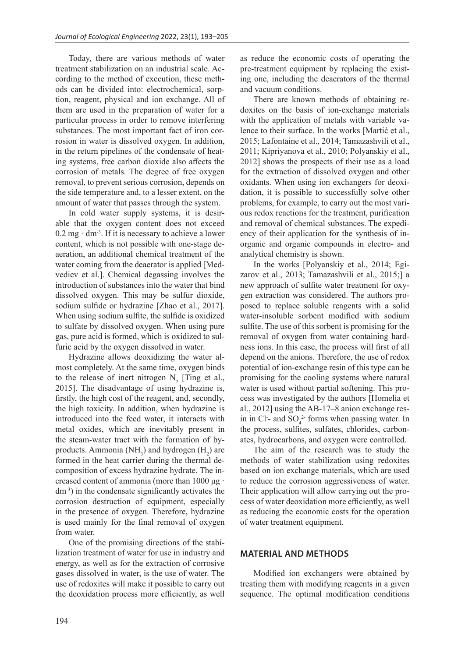Today, there are various methods of water treatment stabilization on an industrial scale. According to the method of execution, these methods can be divided into: electrochemical, sorption, reagent, physical and ion exchange. All of them are used in the preparation of water for a particular process in order to remove interfering substances. The most important fact of iron corrosion in water is dissolved oxygen. In addition, in the return pipelines of the condensate of heating systems, free carbon dioxide also affects the corrosion of metals. The degree of free oxygen removal, to prevent serious corrosion, depends on the side temperature and, to a lesser extent, on the amount of water that passes through the system.

In cold water supply systems, it is desirable that the oxygen content does not exceed  $0.2$  mg  $\cdot$  dm<sup>-3</sup>. If it is necessary to achieve a lower content, which is not possible with one-stage deaeration, an additional chemical treatment of the water coming from the deaerator is applied [Medvediev et al.]. Chemical degassing involves the introduction of substances into the water that bind dissolved oxygen. This may be sulfur dioxide, sodium sulfide or hydrazine [Zhao et al., 2017]. When using sodium sulfite, the sulfide is oxidized to sulfate by dissolved oxygen. When using pure gas, pure acid is formed, which is oxidized to sulfuric acid by the oxygen dissolved in water.

Hydrazine allows deoxidizing the water almost completely. At the same time, oxygen binds to the release of inert nitrogen  $N_2$  [Ting et al., 2015]. The disadvantage of using hydrazine is, firstly, the high cost of the reagent, and, secondly, the high toxicity. In addition, when hydrazine is introduced into the feed water, it interacts with metal oxides, which are inevitably present in the steam-water tract with the formation of byproducts. Ammonia (NH<sub>3</sub>) and hydrogen  $(H_2)$  are formed in the heat carrier during the thermal decomposition of excess hydrazine hydrate. The increased content of ammonia (more than 1000 μg · dm-3) in the condensate significantly activates the corrosion destruction of equipment, especially in the presence of oxygen. Therefore, hydrazine is used mainly for the final removal of oxygen from water.

One of the promising directions of the stabilization treatment of water for use in industry and energy, as well as for the extraction of corrosive gases dissolved in water, is the use of water. The use of redoxites will make it possible to carry out the deoxidation process more efficiently, as well as reduce the economic costs of operating the pre-treatment equipment by replacing the existing one, including the deaerators of the thermal and vacuum conditions.

There are known methods of obtaining redoxites on the basis of ion-exchange materials with the application of metals with variable valence to their surface. In the works [Martić et al., 2015; Lafontaine et al., 2014; Tamazashvili et al., 2011; Kipriyanova et al., 2010; Polyanskiy et al., 2012] shows the prospects of their use as a load for the extraction of dissolved oxygen and other oxidants. When using ion exchangers for deoxidation, it is possible to successfully solve other problems, for example, to carry out the most various redox reactions for the treatment, purification and removal of chemical substances. The expediency of their application for the synthesis of inorganic and organic compounds in electro- and analytical chemistry is shown.

In the works [Polyanskiy et al., 2014; Egizarov et al., 2013; Tamazashvili et al., 2015;] a new approach of sulfite water treatment for oxygen extraction was considered. The authors proposed to replace soluble reagents with a solid water-insoluble sorbent modified with sodium sulfite. The use of this sorbent is promising for the removal of oxygen from water containing hardness ions. In this case, the process will first of all depend on the anions. Therefore, the use of redox potential of ion-exchange resin of this type can be promising for the cooling systems where natural water is used without partial softening. This process was investigated by the authors [Homelia et al., 2012] using the AB-17–8 anion exchange resin in Cl<sup>-</sup> and  $SO_4^2$  forms when passing water. In the process, sulfites, sulfates, chlorides, carbonates, hydrocarbons, and oxygen were controlled.

The aim of the research was to study the methods of water stabilization using redoxites based on ion exchange materials, which are used to reduce the corrosion aggressiveness of water. Their application will allow carrying out the process of water deoxidation more efficiently, as well as reducing the economic costs for the operation of water treatment equipment.

#### **MATERIAL AND METHODS**

Modified ion exchangers were obtained by treating them with modifying reagents in a given sequence. The optimal modification conditions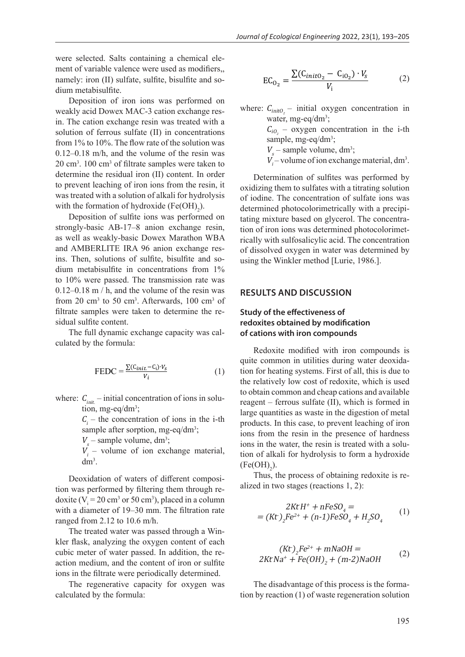were selected. Salts containing a chemical element of variable valence were used as modifiers,, namely: iron (II) sulfate, sulfite, bisulfite and sodium metabisulfite.

Deposition of iron ions was performed on weakly acid Dowex MAC-3 cation exchange resin. The cation exchange resin was treated with a solution of ferrous sulfate (II) in concentrations from 1% to 10%. The flow rate of the solution was 0.12–0.18 m/h, and the volume of the resin was  $20 \text{ cm}^3$ .  $100 \text{ cm}^3$  of filtrate samples were taken to determine the residual iron (II) content. In order to prevent leaching of iron ions from the resin, it was treated with a solution of alkali for hydrolysis with the formation of hydroxide  $(Fe(OH)_{2})$ .

Deposition of sulfite ions was performed on strongly-basic AB-17–8 anion exchange resin, as well as weakly-basic Dowex Marathon WBA and AMBERLITE IRA 96 anion exchange resins. Then, solutions of sulfite, bisulfite and sodium metabisulfite in concentrations from 1% to 10% were passed. The transmission rate was 0.12–0.18 m / h, and the volume of the resin was from 20  $\text{cm}^3$  to 50  $\text{cm}^3$ . Afterwards, 100  $\text{cm}^3$  of filtrate samples were taken to determine the residual sulfite content.

The full dynamic exchange capacity was calculated by the formula:

$$
\text{FEDC} = \frac{\sum (C_{init} - C_i) \cdot V_s}{V_i} \tag{1}
$$

where:  $C_{\text{init}}$  – initial concentration of ions in solution, mg-eq/dm<sup>3</sup>;

> $C<sub>i</sub>$  – the concentration of ions in the i-th sample after sorption, mg-eq/dm<sup>3</sup>;

 $V_s$  – sample volume, dm<sup>3</sup>;

 $V_i$  – volume of ion exchange material,  $dm^3$ .

Deoxidation of waters of different composition was performed by filtering them through redoxite ( $V_i = 20$  cm<sup>3</sup> or 50 cm<sup>3</sup>), placed in a column with a diameter of 19–30 mm. The filtration rate ranged from 2.12 to 10.6 m/h.

The treated water was passed through a Winkler flask, analyzing the oxygen content of each cubic meter of water passed. In addition, the reaction medium, and the content of iron or sulfite ions in the filtrate were periodically determined.

The regenerative capacity for oxygen was calculated by the formula:

$$
EC_{0_2} = \frac{\sum (C_{init0_2} - C_{i0_2}) \cdot V_s}{V_i}
$$
 (2)

where:  $C_{\text{init0}_2}$  – initial oxygen concentration in water, mg-eq/dm<sup>3</sup>;  $C_{i0_2}$  – oxygen concentration in the i-th sample, mg-eq/dm<sup>3</sup>;  $V_s$  – sample volume, dm<sup>3</sup>;

 $V_i$  – volume of ion exchange material, dm<sup>3</sup>.

Determination of sulfites was performed by oxidizing them to sulfates with a titrating solution of iodine. The concentration of sulfate ions was determined photocolorimetrically with a precipitating mixture based on glycerol. The concentration of iron ions was determined photocolorimetrically with sulfosalicylic acid. The concentration of dissolved oxygen in water was determined by using the Winkler method [Lurie, 1986.].

#### **RESULTS AND DISCUSSION**

### **Study of the effectiveness of redoxites obtained by modification of cations with iron compounds**

Redoxite modified with iron compounds is quite common in utilities during water deoxidation for heating systems. First of all, this is due to the relatively low cost of redoxite, which is used to obtain common and cheap cations and available reagent – ferrous sulfate (II), which is formed in large quantities as waste in the digestion of metal products. In this case, to prevent leaching of iron ions from the resin in the presence of hardness ions in the water, the resin is treated with a solution of alkali for hydrolysis to form a hydroxide  $(Fe(OH)<sub>2</sub>).$ 

Thus, the process of obtaining redoxite is realized in two stages (reactions 1, 2):

$$
2Kt H^{+} + nFeSO_{4} =
$$
  
= (Kt)<sub>2</sub>Fe<sup>2+</sup> + (n-1)FeSO<sub>4</sub> + H<sub>2</sub>SO<sub>4</sub> (1)

$$
(Kt)2Fe2+ + mNaOH =
$$
  
2Kt Na<sup>+</sup> + Fe(OH)<sub>2</sub> + (m-2)NaOH (2)

The disadvantage of this process is the formation by reaction (1) of waste regeneration solution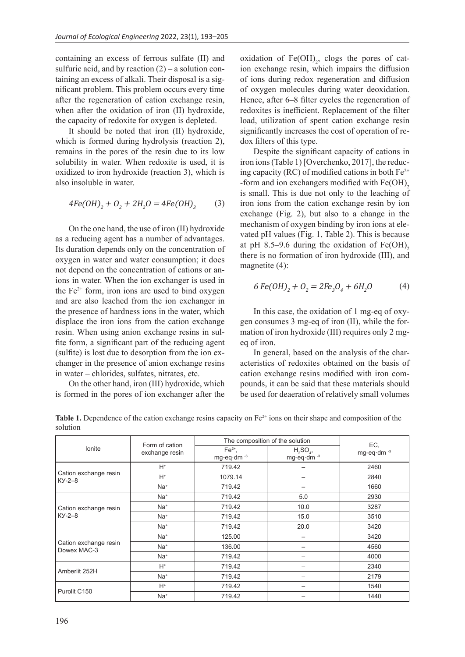containing an excess of ferrous sulfate (II) and sulfuric acid, and by reaction  $(2)$  – a solution containing an excess of alkali. Their disposal is a significant problem. This problem occurs every time after the regeneration of cation exchange resin, when after the oxidation of iron (II) hydroxide, the capacity of redoxite for oxygen is depleted.

It should be noted that iron (II) hydroxide, which is formed during hydrolysis (reaction 2), remains in the pores of the resin due to its low solubility in water. When redoxite is used, it is oxidized to iron hydroxide (reaction 3), which is also insoluble in water.

$$
4Fe(OH)_2 + O_2 + 2H_2O = 4Fe(OH)_3
$$
 (3)

On the one hand, the use of iron (II) hydroxide as a reducing agent has a number of advantages. Its duration depends only on the concentration of oxygen in water and water consumption; it does not depend on the concentration of cations or anions in water. When the ion exchanger is used in the  $Fe<sup>2+</sup>$  form, iron ions are used to bind oxygen and are also leached from the ion exchanger in the presence of hardness ions in the water, which displace the iron ions from the cation exchange resin. When using anion exchange resins in sulfite form, a significant part of the reducing agent (sulfite) is lost due to desorption from the ion exchanger in the presence of anion exchange resins in water – chlorides, sulfates, nitrates, etc.

On the other hand, iron (III) hydroxide, which is formed in the pores of ion exchanger after the oxidation of  $Fe(OH)_{2}$ , clogs the pores of cation exchange resin, which impairs the diffusion of ions during redox regeneration and diffusion of oxygen molecules during water deoxidation. Hence, after 6–8 filter cycles the regeneration of redoxites is inefficient. Replacement of the filter load, utilization of spent cation exchange resin significantly increases the cost of operation of redox filters of this type.

Despite the significant capacity of cations in iron ions (Table 1) [Overchenko, 2017], the reducing capacity (RC) of modified cations in both  $Fe^{2+}$ -form and ion exchangers modified with  $Fe(OH)$ <sub>2</sub> is small. This is due not only to the leaching of iron ions from the cation exchange resin by ion exchange (Fig. 2), but also to a change in the mechanism of oxygen binding by iron ions at elevated pH values (Fig. 1, Table 2). This is because at pH 8.5–9.6 during the oxidation of  $Fe(OH)$ <sub>2</sub> there is no formation of iron hydroxide (III), and magnetite (4):

$$
6 \text{Fe(OH)}_2 + O_2 = 2 \text{Fe}_3O_4 + 6 \text{H}_2O \tag{4}
$$

In this case, the oxidation of 1 mg-eq of oxygen consumes 3 mg-eq of iron (II), while the formation of iron hydroxide (III) requires only 2 mgeq of iron.

In general, based on the analysis of the characteristics of redoxites obtained on the basis of cation exchange resins modified with iron compounds, it can be said that these materials should be used for deaeration of relatively small volumes

**Table 1.** Dependence of the cation exchange resins capacity on Fe<sup>2+</sup> ions on their shape and composition of the solution

| lonite                               | Form of cation<br>exchange resin | The composition of the solution                   |                                                    |                               |
|--------------------------------------|----------------------------------|---------------------------------------------------|----------------------------------------------------|-------------------------------|
|                                      |                                  | $Fe2+$ ,<br>mg-eq $\cdot$ dm $\cdot$ <sup>3</sup> | $H_2SO_4$<br>mg-eq $\cdot$ dm $\cdot$ <sup>3</sup> | EC,<br>mg-eq·dm <sup>-3</sup> |
| Cation exchange resin<br>$KY-2-8$    | $H^*$                            | 719.42                                            |                                                    | 2460                          |
|                                      | $H^*$                            | 1079.14                                           | —                                                  | 2840                          |
|                                      | Na <sup>+</sup>                  | 719.42                                            |                                                    | 1660                          |
| Cation exchange resin<br>$KY-2-8$    | Na <sup>+</sup>                  | 719.42                                            | 5.0                                                | 2930                          |
|                                      | Na <sup>+</sup>                  | 719.42                                            | 10.0                                               | 3287                          |
|                                      | Na <sup>+</sup>                  | 719.42                                            | 15.0                                               | 3510                          |
|                                      | Na <sup>+</sup>                  | 719.42                                            | 20.0                                               | 3420                          |
| Cation exchange resin<br>Dowex MAC-3 | Na <sup>+</sup>                  | 125.00                                            |                                                    | 3420                          |
|                                      | Na <sup>+</sup>                  | 136.00                                            |                                                    | 4560                          |
|                                      | Na <sup>+</sup>                  | 719.42                                            |                                                    | 4000                          |
| Amberlit 252H                        | $H^*$                            | 719.42                                            |                                                    | 2340                          |
|                                      | Na <sup>+</sup>                  | 719.42                                            |                                                    | 2179                          |
| Purolit C150                         | $H^*$                            | 719.42                                            |                                                    | 1540                          |
|                                      | Na <sup>+</sup>                  | 719.42                                            |                                                    | 1440                          |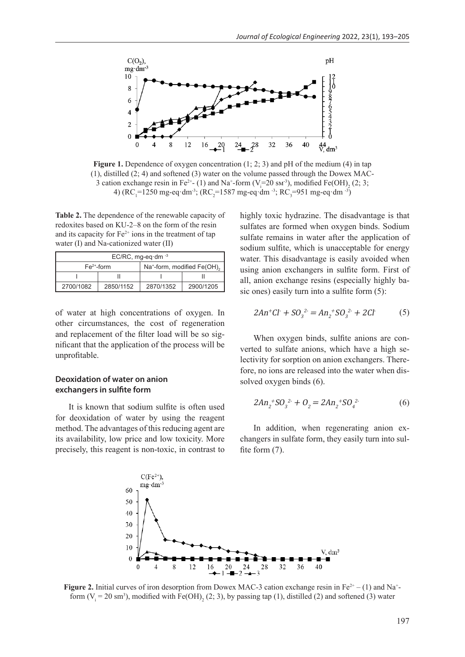

**Figure 1.** Dependence of oxygen concentration (1; 2; 3) and pH of the medium (4) in tap (1), distilled (2; 4) and softened (3) water on the volume passed through the Dowex MAC-3 cation exchange resin in Fe<sup>2+</sup>- (1) and Na<sup>+</sup>-form (V<sub>i</sub>=20 sm<sup>-3</sup>), modified Fe(OH)<sub>2</sub> (2; 3; 4) (RC<sub>1</sub>=1250 mg-eq·dm<sup>-3</sup>; (RC<sub>2</sub>=1587 mg-eq·dm<sup>-3</sup>; RC<sub>3</sub>=951 mg-eq·dm<sup>-3</sup>)

**Table 2.** The dependence of the renewable capacity of redoxites based on KU-2–8 on the form of the resin and its capacity for  $Fe<sup>2+</sup>$  ions in the treatment of tap water (I) and Na-cationized water (II)

| EC/RC, mg-eq $\cdot$ dm $^{-3}$ |           |                                         |           |  |  |  |
|---------------------------------|-----------|-----------------------------------------|-----------|--|--|--|
| $Fe2+$ -form                    |           | Na <sup>+</sup> -form, modified Fe(OH), |           |  |  |  |
|                                 |           |                                         |           |  |  |  |
| 2700/1082                       | 2850/1152 | 2870/1352                               | 2900/1205 |  |  |  |

of water at high concentrations of oxygen. In other circumstances, the cost of regeneration and replacement of the filter load will be so significant that the application of the process will be unprofitable.

# **Deoxidation of water on anion exchangers in sulfite form**

It is known that sodium sulfite is often used for deoxidation of water by using the reagent method. The advantages of this reducing agent are its availability, low price and low toxicity. More precisely, this reagent is non-toxic, in contrast to

highly toxic hydrazine. The disadvantage is that sulfates are formed when oxygen binds. Sodium sulfate remains in water after the application of sodium sulfite, which is unacceptable for energy water. This disadvantage is easily avoided when using anion exchangers in sulfite form. First of all, anion exchange resins (especially highly basic ones) easily turn into a sulfite form (5):

$$
2An^{+}Cl + SO_{3}^{2} = An_{2}^{+}SO_{3}^{2} + 2Cl \tag{5}
$$

When oxygen binds, sulfite anions are converted to sulfate anions, which have a high selectivity for sorption on anion exchangers. Therefore, no ions are released into the water when dissolved oxygen binds (6).

$$
2An_2^+SO_3^{2} + O_2 = 2An_2^+SO_4^{2} \tag{6}
$$

In addition, when regenerating anion exchangers in sulfate form, they easily turn into sulfite form  $(7)$ .



**Figure 2.** Initial curves of iron desorption from Dowex MAC-3 cation exchange resin in  $Fe^{2+} - (1)$  and Na<sup>+</sup>form  $(V_i = 20 \text{ sm}^3)$ , modified with  $Fe(OH)_2$  (2; 3), by passing tap (1), distilled (2) and softened (3) water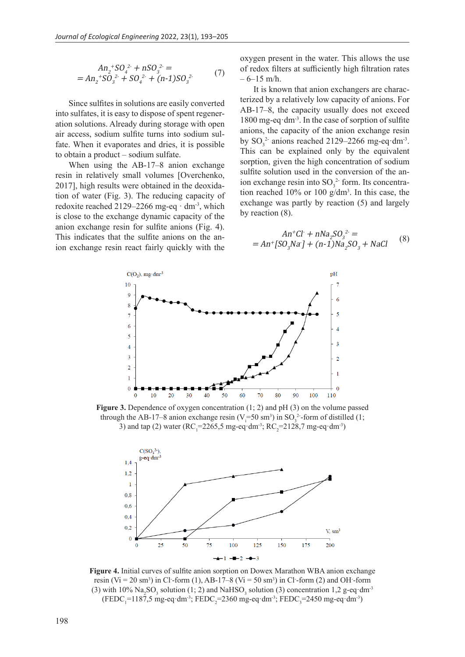$$
An_2^+ SO_4^{2+} + nSO_3^{2-} =
$$
  
=  $An_2^+ SO_3^{2+} + SO_4^{2+} + (n-1)SO_3^{2-}$  (7)

Since sulfites in solutions are easily converted into sulfates, it is easy to dispose of spent regeneration solutions. Already during storage with open air access, sodium sulfite turns into sodium sulfate. When it evaporates and dries, it is possible to obtain a product – sodium sulfate.

When using the AB-17–8 anion exchange resin in relatively small volumes [Overchenko, 2017], high results were obtained in the deoxidation of water (Fig. 3). The reducing capacity of redoxite reached 2129–2266 mg-eq  $\cdot$  dm<sup>-3</sup>, which is close to the exchange dynamic capacity of the anion exchange resin for sulfite anions (Fig. 4). This indicates that the sulfite anions on the anion exchange resin react fairly quickly with the

oxygen present in the water. This allows the use of redox filters at sufficiently high filtration rates  $-6-15$  m/h.

It is known that anion exchangers are characterized by a relatively low capacity of anions. For AB-17–8, the capacity usually does not exceed  $1800$  mg-eq $\cdot$ dm<sup>-3</sup>. In the case of sorption of sulfite anions, the capacity of the anion exchange resin by  $SO_3^2$  anions reached 2129–2266 mg-eq·dm<sup>-3</sup>. This can be explained only by the equivalent sorption, given the high concentration of sodium sulfite solution used in the conversion of the anion exchange resin into  $SO_3^2$  form. Its concentration reached 10% or 100 g/dm<sup>3</sup> . In this case, the exchange was partly by reaction (5) and largely by reaction (8).

$$
An^{+}Cl + nNa_{2}SO_{3}^{2} =
$$
  
=  $An^{+}[SO_{3}Na] + (n-1)Na_{2}SO_{3} + NaCl$  (8)



**Figure 3.** Dependence of oxygen concentration (1; 2) and pH (3) on the volume passed through the AB-17–8 anion exchange resin ( $V_i = 50 \text{ sm}^3$ ) in SO<sub>3</sub><sup>2</sup>-form of distilled (1; 3) and tap (2) water ( $RC_1 = 2265, 5$  mg-eq·dm<sup>-3</sup>;  $RC_2 = 2128, 7$  mg-eq·dm<sup>-3</sup>)



**Figure 4.** Initial curves of sulfite anion sorption on Dowex Marathon WBA anion exchange resin (Vi = 20 sm<sup>3</sup>) in Cl<sup>-</sup>-form (1), AB-17–8 (Vi = 50 sm<sup>3</sup>) in Cl<sup>-</sup>-form (2) and OH-form (3) with 10%  $\text{Na}_2\text{SO}_3$  solution (1; 2) and  $\text{NaHSO}_3$  solution (3) concentration 1,2 g-eq·dm<sup>-3</sup> (FEDC<sub>1</sub>=1187,5 mg-eq·dm<sup>-3</sup>; FEDC<sub>2</sub>=2360 mg-eq·dm<sup>-3</sup>; FEDC<sub>3</sub>=2450 mg-eq·dm<sup>-3</sup>)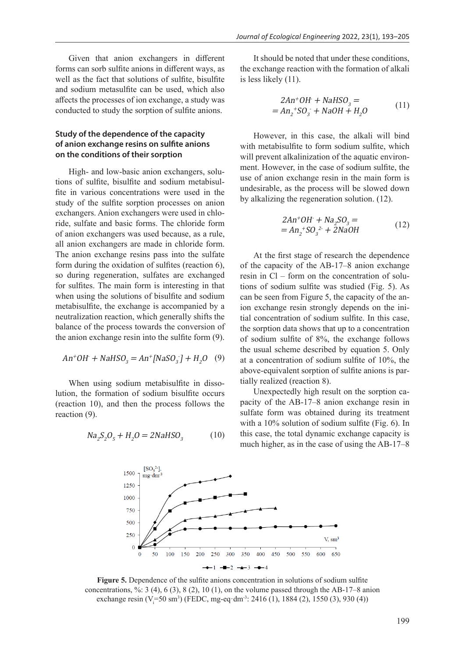Given that anion exchangers in different forms can sorb sulfite anions in different ways, as well as the fact that solutions of sulfite, bisulfite and sodium metasulfite can be used, which also affects the processes of ion exchange, a study was conducted to study the sorption of sulfite anions.

## **Study of the dependence of the capacity of anion exchange resins on sulfite anions on the conditions of their sorption**

High- and low-basic anion exchangers, solutions of sulfite, bisulfite and sodium metabisulfite in various concentrations were used in the study of the sulfite sorption processes on anion exchangers. Anion exchangers were used in chloride, sulfate and basic forms. The chloride form of anion exchangers was used because, as a rule, all anion exchangers are made in chloride form. The anion exchange resins pass into the sulfate form during the oxidation of sulfites (reaction 6), so during regeneration, sulfates are exchanged for sulfites. The main form is interesting in that when using the solutions of bisulfite and sodium metabisulfite, the exchange is accompanied by a neutralization reaction, which generally shifts the balance of the process towards the conversion of the anion exchange resin into the sulfite form (9).

$$
An + OH + NaHSO_3 = An + [NaSO_3] + H_2O \quad (9)
$$

When using sodium metabisulfite in dissolution, the formation of sodium bisulfite occurs (reaction 10), and then the process follows the reaction (9).

$$
Na_2S_2O_5 + H_2O = 2NAHSO_3 \tag{10}
$$

It should be noted that under these conditions, the exchange reaction with the formation of alkali is less likely (11).

$$
2An^{+}OH + NaHSO3 =
$$
  
= An<sub>2</sub><sup>+</sup>SO<sub>3</sub> + NaOH + H<sub>2</sub>O (11)

However, in this case, the alkali will bind with metabisulfite to form sodium sulfite, which will prevent alkalinization of the aquatic environment. However, in the case of sodium sulfite, the use of anion exchange resin in the main form is undesirable, as the process will be slowed down by alkalizing the regeneration solution. (12).

$$
2An^{+}OH + Na_{2}SO_{3} == An_{2}^{+}SO_{3}^{2+} + 2NaOH
$$
 (12)

At the first stage of research the dependence of the capacity of the AB-17–8 anion exchange resin in Cl – form on the concentration of solutions of sodium sulfite was studied (Fig. 5). As can be seen from Figure 5, the capacity of the anion exchange resin strongly depends on the initial concentration of sodium sulfite. In this case, the sorption data shows that up to a concentration of sodium sulfite of 8%, the exchange follows the usual scheme described by equation 5. Only at a concentration of sodium sulfite of 10%, the above-equivalent sorption of sulfite anions is partially realized (reaction 8).

Unexpectedly high result on the sorption capacity of the AB-17–8 anion exchange resin in sulfate form was obtained during its treatment with a 10% solution of sodium sulfite (Fig. 6). In this case, the total dynamic exchange capacity is much higher, as in the case of using the AB-17–8



**Figure 5.** Dependence of the sulfite anions concentration in solutions of sodium sulfite concentrations, %: 3 (4), 6 (3), 8 (2), 10 (1), on the volume passed through the AB-17–8 anion exchange resin (V=50 sm<sup>3</sup>) (FEDC, mg-eq·dm<sup>-3</sup>: 2416 (1), 1884 (2), 1550 (3), 930 (4))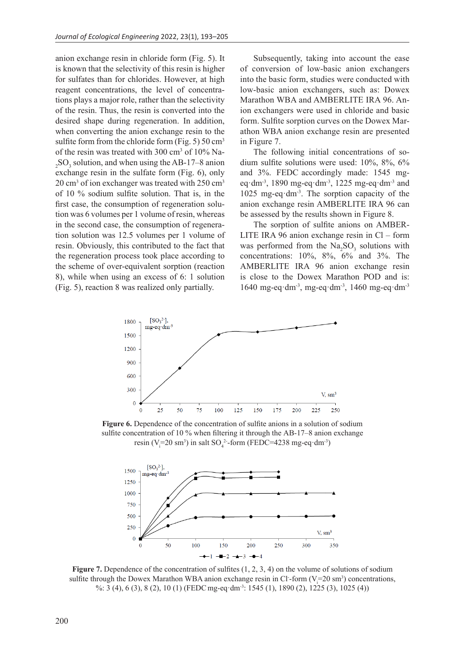anion exchange resin in chloride form (Fig. 5). It is known that the selectivity of this resin is higher for sulfates than for chlorides. However, at high reagent concentrations, the level of concentrations plays a major role, rather than the selectivity of the resin. Thus, the resin is converted into the desired shape during regeneration. In addition, when converting the anion exchange resin to the sulfite form from the chloride form (Fig.  $5)$  50 cm<sup>3</sup> of the resin was treated with 300 cm<sup>3</sup> of 10% Na- $2^{12}$ SO<sub>3</sub> solution, and when using the AB-17–8 anion exchange resin in the sulfate form (Fig. 6), only 20 cm<sup>3</sup> of ion exchanger was treated with 250 cm<sup>3</sup> of 10 % sodium sulfite solution. That is, in the first case, the consumption of regeneration solution was 6 volumes per 1 volume of resin, whereas in the second case, the consumption of regeneration solution was 12.5 volumes per 1 volume of resin. Obviously, this contributed to the fact that the regeneration process took place according to the scheme of over-equivalent sorption (reaction 8), while when using an excess of 6: 1 solution (Fig. 5), reaction 8 was realized only partially.

Subsequently, taking into account the ease of conversion of low-basic anion exchangers into the basic form, studies were conducted with low-basic anion exchangers, such as: Dowex Marathon WBA and AMBERLITE IRA 96. Anion exchangers were used in chloride and basic form. Sulfite sorption curves on the Dowex Marathon WBA anion exchange resin are presented in Figure 7.

The following initial concentrations of sodium sulfite solutions were used: 10%, 8%, 6% and 3%. FEDC accordingly made: 1545 mgeq·dm<sup>-3</sup>, 1890 mg-eq·dm<sup>-3</sup>, 1225 mg-eq·dm<sup>-3</sup> and 1025 mg-eq $\cdot$ dm<sup>-3</sup>. The sorption capacity of the anion exchange resin AMBERLITE IRA 96 can be assessed by the results shown in Figure 8.

The sorption of sulfite anions on AMBER-LITE IRA 96 anion exchange resin in Cl – form was performed from the  $\text{Na}_2\text{SO}_3$  solutions with concentrations: 10%, 8%, 6% and 3%. The AMBERLITE IRA 96 anion exchange resin is close to the Dowex Marathon POD and is: 1640 mg-eq·dm<sup>-3</sup>, mg-eq·dm<sup>-3</sup>, 1460 mg-eq·dm<sup>-3</sup>



**Figure 6.** Dependence of the concentration of sulfite anions in a solution of sodium sulfite concentration of 10 % when filtering it through the AB-17–8 anion exchange resin (V<sub>i</sub>=20 sm<sup>3</sup>) in salt SO<sub>4</sub><sup>2</sup>-form (FEDC=4238 mg-eq·dm<sup>-3</sup>)



**Figure 7.** Dependence of the concentration of sulfites  $(1, 2, 3, 4)$  on the volume of solutions of sodium sulfite through the Dowex Marathon WBA anion exchange resin in Cl-form ( $V_i$ =20 sm<sup>3</sup>) concentrations, %: 3 (4), 6 (3), 8 (2), 10 (1) (FEDC mg-eq·dm<sup>-3</sup>: 1545 (1), 1890 (2), 1225 (3), 1025 (4))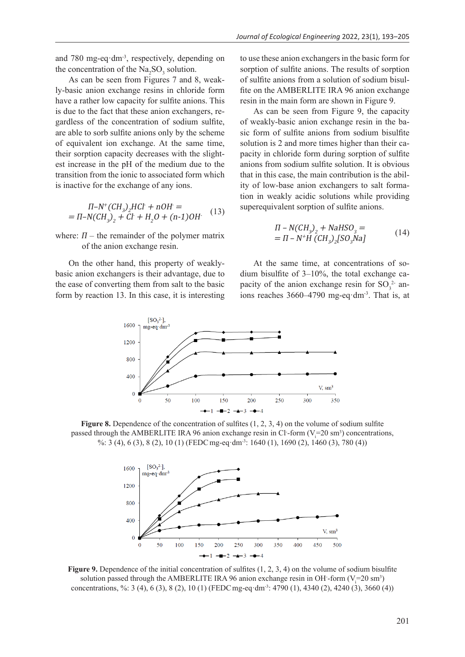and 780 mg-eq·dm<sup>-3</sup>, respectively, depending on the concentration of the  $\text{Na}_2\text{SO}_3$  solution.

As can be seen from Figures 7 and 8, weakly-basic anion exchange resins in chloride form have a rather low capacity for sulfite anions. This is due to the fact that these anion exchangers, regardless of the concentration of sodium sulfite, are able to sorb sulfite anions only by the scheme of equivalent ion exchange. At the same time, their sorption capacity decreases with the slightest increase in the pH of the medium due to the transition from the ionic to associated form which is inactive for the exchange of any ions.

$$
\Pi - N^{+}(CH_{3})_{2} HCl + nOH =
$$
  
=  $\Pi - N(CH_{3})_{2} + Cl + H_{2}O + (n-1)OH$  (13)

where:  $\Pi$  – the remainder of the polymer matrix of the anion exchange resin.

On the other hand, this property of weaklybasic anion exchangers is their advantage, due to the ease of converting them from salt to the basic form by reaction 13. In this case, it is interesting to use these anion exchangers in the basic form for sorption of sulfite anions. The results of sorption of sulfite anions from a solution of sodium bisulfite on the AMBERLITE IRA 96 anion exchange resin in the main form are shown in Figure 9.

As can be seen from Figure 9, the capacity of weakly-basic anion exchange resin in the basic form of sulfite anions from sodium bisulfite solution is 2 and more times higher than their capacity in chloride form during sorption of sulfite anions from sodium sulfite solution. It is obvious that in this case, the main contribution is the ability of low-base anion exchangers to salt formation in weakly acidic solutions while providing superequivalent sorption of sulfite anions.

$$
\Pi - N(CH_3)_2 + NAHSO_3 = \n= \Pi - N^+H (CH_3)_2 [SO_3Na]
$$
\n(14)

At the same time, at concentrations of sodium bisulfite of 3–10%, the total exchange capacity of the anion exchange resin for  $SO_3^2$  anions reaches 3660–4790 mg-eq·dm-3. That is, at



**Figure 8.** Dependence of the concentration of sulfites  $(1, 2, 3, 4)$  on the volume of sodium sulfite passed through the AMBERLITE IRA 96 anion exchange resin in Cl-form ( $V_i$ =20 sm<sup>3</sup>) concentrations, %: 3 (4), 6 (3), 8 (2), 10 (1) (FEDCmg-eq·dm-3: 1640 (1), 1690 (2), 1460 (3), 780 (4))



**Figure 9.** Dependence of the initial concentration of sulfites (1, 2, 3, 4) on the volume of sodium bisulfite solution passed through the AMBERLITE IRA 96 anion exchange resin in OH-form ( $V_i = 20 \text{ sm}^3$ ) concentrations, %: 3 (4), 6 (3), 8 (2), 10 (1) (FEDCmg-eq·dm-3: 4790 (1), 4340 (2), 4240 (3), 3660 (4))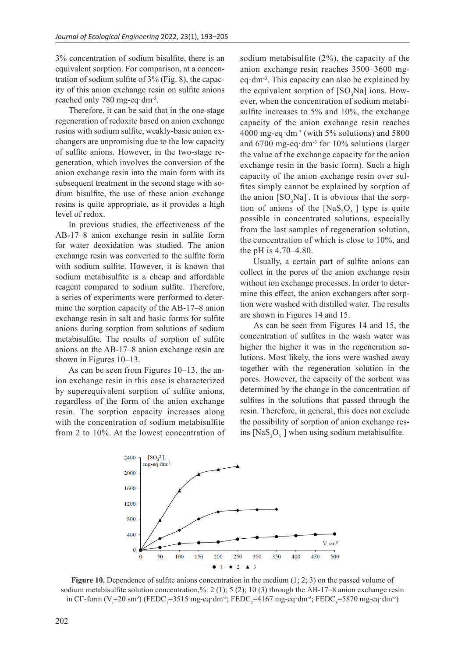3% concentration of sodium bisulfite, there is an equivalent sorption. For comparison, at a concentration of sodium sulfite of 3% (Fig. 8), the capacity of this anion exchange resin on sulfite anions reached only 780 mg-eq·dm<sup>-3</sup>.

Therefore, it can be said that in the one-stage regeneration of redoxite based on anion exchange resins with sodium sulfite, weakly-basic anion exchangers are unpromising due to the low capacity of sulfite anions. However, in the two-stage regeneration, which involves the conversion of the anion exchange resin into the main form with its subsequent treatment in the second stage with sodium bisulfite, the use of these anion exchange resins is quite appropriate, as it provides a high level of redox.

In previous studies, the effectiveness of the AB-17–8 anion exchange resin in sulfite form for water deoxidation was studied. The anion exchange resin was converted to the sulfite form with sodium sulfite. However, it is known that sodium metabisulfite is a cheap and affordable reagent compared to sodium sulfite. Therefore, a series of experiments were performed to determine the sorption capacity of the AB-17–8 anion exchange resin in salt and basic forms for sulfite anions during sorption from solutions of sodium metabisulfite. The results of sorption of sulfite anions on the AB-17–8 anion exchange resin are shown in Figures 10–13.

As can be seen from Figures 10–13, the anion exchange resin in this case is characterized by superequivalent sorption of sulfite anions, regardless of the form of the anion exchange resin. The sorption capacity increases along with the concentration of sodium metabisulfite from 2 to 10%. At the lowest concentration of sodium metabisulfite (2%), the capacity of the anion exchange resin reaches 3500–3600 mgeq $\cdot$ dm<sup>-3</sup>. This capacity can also be explained by the equivalent sorption of  $[SO_3Na]$  ions. However, when the concentration of sodium metabisulfite increases to 5% and 10%, the exchange capacity of the anion exchange resin reaches 4000 mg-eq $\cdot$ dm<sup>-3</sup> (with 5% solutions) and 5800 and  $6700$  mg-eq·dm<sup>-3</sup> for  $10\%$  solutions (larger the value of the exchange capacity for the anion exchange resin in the basic form). Such a high capacity of the anion exchange resin over sulfites simply cannot be explained by sorption of the anion  $[SO_3Na]$ . It is obvious that the sorption of anions of the  $[NaS_2O_5]$  type is quite possible in concentrated solutions, especially from the last samples of regeneration solution, the concentration of which is close to 10%, and the pH is 4.70–4.80.

Usually, a certain part of sulfite anions can collect in the pores of the anion exchange resin without ion exchange processes. In order to determine this effect, the anion exchangers after sorption were washed with distilled water. The results are shown in Figures 14 and 15.

As can be seen from Figures 14 and 15, the concentration of sulfites in the wash water was higher the higher it was in the regeneration solutions. Most likely, the ions were washed away together with the regeneration solution in the pores. However, the capacity of the sorbent was determined by the change in the concentration of sulfites in the solutions that passed through the resin. Therefore, in general, this does not exclude the possibility of sorption of anion exchange resins  $[NaS_2O_5]$  when using sodium metabisulfite.



**Figure 10.** Dependence of sulfite anions concentration in the medium  $(1; 2; 3)$  on the passed volume of sodium metabisulfite solution concentration,%: 2 (1); 5 (2); 10 (3) through the АВ-17–8 anion exchange resin in Cl<sup>-</sup>-form (V<sub>i</sub>=20 sm<sup>3</sup>) (FEDC<sub>1</sub>=3515 mg-eq·dm<sup>-3</sup>; FEDC<sub>2</sub>=4167 mg-eq·dm<sup>-3</sup>; FEDC<sub>3</sub>=5870 mg-eq·dm<sup>-3</sup>)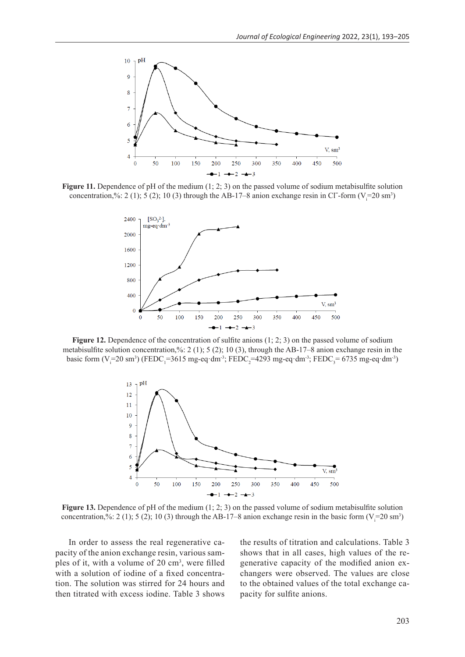

**Figure 11.** Dependence of pH of the medium (1; 2; 3) on the passed volume of sodium metabisulfite solution concentration,%: 2 (1); 5 (2); 10 (3) through the AB-17-8 anion exchange resin in Cl<sup>-</sup>-form (V<sub>i</sub>=20 sm<sup>3</sup>)



Figure 12. Dependence of the concentration of sulfite anions (1; 2; 3) on the passed volume of sodium metabisulfite solution concentration,%: 2 (1); 5 (2); 10 (3), through the AB-17–8 anion exchange resin in the basic form (V=20 sm<sup>3</sup>) (FEDC<sub>1</sub>=3615 mg-eq·dm<sup>-3</sup>; FEDC<sub>2</sub>=4293 mg-eq·dm<sup>-3</sup>; FEDC<sub>3</sub>= 6735 mg-eq·dm<sup>-3</sup>)



**Figure 13.** Dependence of pH of the medium  $(1; 2; 3)$  on the passed volume of sodium metabisulfite solution concentration,%: 2 (1); 5 (2); 10 (3) through the AB-17-8 anion exchange resin in the basic form  $(V_i=20 \text{ sm}^3)$ 

In order to assess the real regenerative capacity of the anion exchange resin, various samples of it, with a volume of 20 cm<sup>3</sup>, were filled with a solution of iodine of a fixed concentration. The solution was stirred for 24 hours and then titrated with excess iodine. Table 3 shows

the results of titration and calculations. Table 3 shows that in all cases, high values of the regenerative capacity of the modified anion exchangers were observed. The values are close to the obtained values of the total exchange capacity for sulfite anions.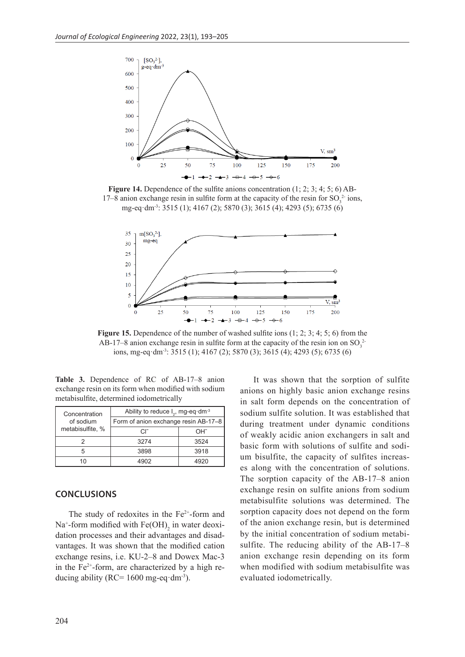

**Figure 14.** Dependence of the sulfite anions concentration (1; 2; 3; 4; 5; 6) AB-17–8 anion exchange resin in sulfite form at the capacity of the resin for  $SO_3^2$  ions, mg-eq·dm-3: 3515 (1); 4167 (2); 5870 (3); 3615 (4); 4293 (5); 6735 (6)



**Figure 15.** Dependence of the number of washed sulfite ions (1; 2; 3; 4; 5; 6) from the AB-17–8 anion exchange resin in sulfite form at the capacity of the resin ion on  $SO_3^2$ ions, mg-eq·dm-3: 3515 (1); 4167 (2); 5870 (3); 3615 (4); 4293 (5); 6735 (6)

**Table 3.** Dependence of RC of AB-17–8 anion exchange resin on its form when modified with sodium metabisulfite, determined iodometrically

| Concentration    | Ability to reduce $I_2$ , mg-eq·dm <sup>-3</sup> |      |  |
|------------------|--------------------------------------------------|------|--|
| of sodium        | Form of anion exchange resin AB-17-8             |      |  |
| metabisulfite, % | C.F                                              | OH-  |  |
|                  | 3274                                             | 3524 |  |
| 5                | 3898                                             | 3918 |  |
| 10               |                                                  |      |  |

#### **CONCLUSIONS**

The study of redoxites in the  $Fe<sup>2+</sup>$ -form and  $Na<sup>+</sup>$ -form modified with  $Fe(OH)$ <sub>2</sub> in water deoxidation processes and their advantages and disadvantages. It was shown that the modified cation exchange resins, i.e. KU-2–8 and Dowex Mac-3 in the Fe<sup>2+</sup>-form, are characterized by a high reducing ability ( $RC = 1600$  mg-eq·dm<sup>-3</sup>).

It was shown that the sorption of sulfite anions on highly basic anion exchange resins in salt form depends on the concentration of sodium sulfite solution. It was established that during treatment under dynamic conditions of weakly acidic anion exchangers in salt and basic form with solutions of sulfite and sodium bisulfite, the capacity of sulfites increases along with the concentration of solutions. The sorption capacity of the AB-17–8 anion exchange resin on sulfite anions from sodium metabisulfite solutions was determined. The sorption capacity does not depend on the form of the anion exchange resin, but is determined by the initial concentration of sodium metabisulfite. The reducing ability of the AB-17–8 anion exchange resin depending on its form when modified with sodium metabisulfite was evaluated iodometrically.